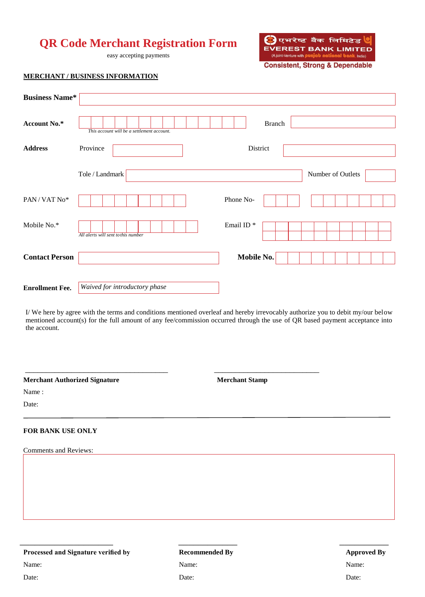# **QR Code Merchant Registration Form**

easy accepting payments



**Consistent, Strong & Dependable** 

## **MERCHANT / BUSINESS INFORMATION**

| <b>Business Name*</b>                   |                                            |                  |                   |  |
|-----------------------------------------|--------------------------------------------|------------------|-------------------|--|
| Account No.*                            | This account will be a settlement account. | Branch           |                   |  |
| <b>Address</b>                          | Province                                   | District         |                   |  |
|                                         | Tole / Landmark                            |                  | Number of Outlets |  |
| $\text{PAN}\,/\,\text{VAT}\,\text{No*}$ |                                            | Phone No-        |                   |  |
| Mobile No.*                             | All alerts will sent to this number        | Email ID $^\ast$ |                   |  |
| <b>Contact Person</b>                   |                                            | Mobile No.       |                   |  |
| <b>Enrollment Fee.</b>                  | <b>Waived for introductory phase</b>       |                  |                   |  |

I/ We here by agree with the terms and conditions mentioned overleaf and hereby irrevocably authorize you to debit my/our below mentioned account(s) for the full amount of any fee/commission occurred through the use of QR based payment acceptance into the account.

 $\overline{\phantom{a}}$  , and the contract of the contract of the contract of the contract of the contract of the contract of the contract of the contract of the contract of the contract of the contract of the contract of the contrac

**Merchant Authorized Signature**

**Merchant Stamp**

Name :

Date:

#### **FOR BANK USE ONLY**

Comments and Reviews:

## **Processed and Signature verified by**

Name:

Date:

# **Recommended By** Name: Date:

 $\frac{1}{2}$  , the contract of the contract of the contract of the contract of the contract of the contract of the contract of the contract of the contract of the contract of the contract of the contract of the contract of t

## **Approved By** Name: Date: